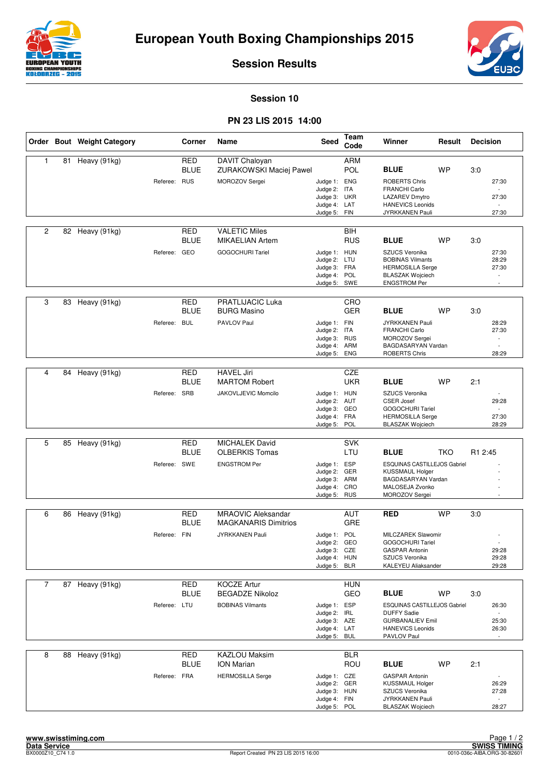



**Session Results**

## **Session 10**

## **PN 23 LIS 2015 14:00**

|                |    | Order Bout Weight Category |              | Corner                    | <b>Name</b>                                    | <b>Seed</b>                  | Team<br>Code             | Winner                                             | Result     | <b>Decision</b>                   |  |
|----------------|----|----------------------------|--------------|---------------------------|------------------------------------------------|------------------------------|--------------------------|----------------------------------------------------|------------|-----------------------------------|--|
| 1              | 81 | Heavy (91kg)               |              | <b>RED</b><br><b>BLUE</b> | DAVIT Chaloyan<br>ZURAKOWSKI Maciej Pawel      |                              | ARM<br>POL               | <b>BLUE</b>                                        | <b>WP</b>  | 3:0                               |  |
|                |    |                            | Referee:     | <b>RUS</b>                | MOROZOV Sergei                                 | Judge 1: ENG                 |                          | <b>ROBERTS Chris</b>                               |            | 27:30                             |  |
|                |    |                            |              |                           |                                                | Judge 2: ITA<br>Judge 3: UKR |                          | <b>FRANCHI Carlo</b><br><b>LAZAREV Dmytro</b>      |            | 27:30                             |  |
|                |    |                            |              |                           |                                                | Judge 4: LAT                 |                          | <b>HANEVICS Leonids</b>                            |            | $\sim$                            |  |
|                |    |                            |              |                           |                                                | Judge 5: FIN                 |                          | JYRKKANEN Pauli                                    |            | 27:30                             |  |
| $\overline{2}$ |    | 82 Heavy (91kg)            |              | <b>RED</b><br><b>BLUE</b> | <b>VALETIC Miles</b><br><b>MIKAELIAN Artem</b> |                              | <b>BIH</b><br><b>RUS</b> | <b>BLUE</b>                                        | <b>WP</b>  | 3.0                               |  |
|                |    |                            | Referee: GEO |                           | <b>GOGOCHURI Tariel</b>                        | Judge 1: HUN                 |                          | SZUCS Veronika                                     |            | 27:30                             |  |
|                |    |                            |              |                           |                                                | Judge 2: LTU<br>Judge 3: FRA |                          | <b>BOBINAS Vilmants</b><br><b>HERMOSILLA Serge</b> |            | 28:29<br>27:30                    |  |
|                |    |                            |              |                           |                                                | Judge 4: POL                 |                          | <b>BLASZAK Wojciech</b>                            |            |                                   |  |
|                |    |                            |              |                           |                                                | Judge 5: SWE                 |                          | <b>ENGSTROM Per</b>                                |            |                                   |  |
| 3              | 83 | Heavy (91kg)               |              | <b>RED</b><br><b>BLUE</b> | <b>PRATLIJACIC Luka</b><br><b>BURG Masino</b>  |                              | CRO<br><b>GER</b>        | <b>BLUE</b>                                        | <b>WP</b>  | 3.0                               |  |
|                |    |                            | Referee: BUL |                           | PAVLOV Paul                                    | Judge 1: FIN                 |                          | JYRKKANEN Pauli                                    |            | 28:29                             |  |
|                |    |                            |              |                           |                                                | Judge 2: ITA<br>Judge 3: RUS |                          | <b>FRANCHI Carlo</b><br>MOROZOV Sergei             |            | 27:30<br>$\sim$                   |  |
|                |    |                            |              |                           |                                                | Judge 4: ARM                 |                          | BAGDASARYAN Vardan                                 |            | $\sim$                            |  |
|                |    |                            |              |                           |                                                | Judge 5:                     | <b>ENG</b>               | <b>ROBERTS Chris</b>                               |            | 28:29                             |  |
| 4              | 84 | Heavy (91kg)               |              | <b>RED</b>                | <b>HAVEL Jiri</b>                              |                              | CZE                      |                                                    |            |                                   |  |
|                |    |                            |              | <b>BLUE</b>               | <b>MARTOM Robert</b>                           |                              | <b>UKR</b>               | <b>BLUE</b>                                        | <b>WP</b>  | 2:1                               |  |
|                |    |                            | Referee: SRB |                           | JAKOVLJEVIC Momcilo                            | Judge 1: HUN<br>Judge 2: AUT |                          | SZUCS Veronika<br><b>CSER Josef</b>                |            | 29:28                             |  |
|                |    |                            |              |                           |                                                | Judge 3: GEO                 |                          | <b>GOGOCHURI Tariel</b>                            |            |                                   |  |
|                |    |                            |              |                           |                                                | Judge 4: FRA<br>Judge 5: POL |                          | <b>HERMOSILLA Serge</b><br><b>BLASZAK Wojciech</b> |            | 27:30<br>28:29                    |  |
|                |    |                            |              |                           |                                                |                              |                          |                                                    |            |                                   |  |
| 5              | 85 | Heavy (91kg)               |              | <b>RED</b><br><b>BLUE</b> | <b>MICHALEK David</b><br><b>OLBERKIS Tomas</b> |                              | <b>SVK</b><br>LTU        | <b>BLUE</b>                                        | <b>TKO</b> | R1 2:45                           |  |
|                |    |                            | Referee: SWE |                           | <b>ENGSTROM Per</b>                            | Judge 1: ESP                 |                          | ESQUINAS CASTILLEJOS Gabriel                       |            |                                   |  |
|                |    |                            |              |                           |                                                | Judge 2: GER                 |                          | <b>KUSSMAUL Holger</b>                             |            |                                   |  |
|                |    |                            |              |                           |                                                | Judge 3: ARM<br>Judge 4: CRO |                          | BAGDASARYAN Vardan<br>MALOSEJA Zvonko              |            |                                   |  |
|                |    |                            |              |                           |                                                | Judge 5: RUS                 |                          | MOROZOV Sergei                                     |            |                                   |  |
| 6              |    | 86 Heavy (91kg)            |              | <b>RED</b>                | <b>MRAOVIC Aleksandar</b>                      |                              | <b>AUT</b>               | <b>RED</b>                                         | <b>WP</b>  | 3:0                               |  |
|                |    |                            |              | <b>BLUE</b>               | <b>MAGKANARIS Dimitrios</b>                    |                              | GRE                      |                                                    |            |                                   |  |
|                |    |                            | Referee: FIN |                           | <b>JYRKKANEN Pauli</b>                         | Judge 1: POL                 |                          | <b>MILCZAREK Slawomir</b>                          |            |                                   |  |
|                |    |                            |              |                           |                                                | Judge 2: GEO<br>Judge 3: CZE |                          | GOGOCHURI Tariel<br><b>GASPAR Antonin</b>          |            | 29:28                             |  |
|                |    |                            |              |                           |                                                | Judge 4: HUN                 |                          | SZUCS Veronika                                     |            | 29:28                             |  |
|                |    |                            |              |                           |                                                | Judge 5: BLR                 |                          | KALEYEU Aliaksander                                |            | 29:28                             |  |
| $\overline{7}$ |    | 87 Heavy (91kg)            |              | <b>RED</b>                | <b>KOCZE Artur</b>                             |                              | <b>HUN</b>               |                                                    |            |                                   |  |
|                |    |                            |              | <b>BLUE</b>               | <b>BEGADZE Nikoloz</b>                         |                              | GEO                      | <b>BLUE</b>                                        | WP         | 3:0                               |  |
|                |    |                            | Referee: LTU |                           | <b>BOBINAS Vilmants</b>                        | Judge 1: ESP<br>Judge 2: IRL |                          | ESQUINAS CASTILLEJOS Gabriel<br><b>DUFFY Sadie</b> |            | 26:30                             |  |
|                |    |                            |              |                           |                                                | Judge 3: AZE                 |                          | <b>GURBANALIEV Emil</b>                            |            | 25:30                             |  |
|                |    |                            |              |                           |                                                | Judge 4: LAT<br>Judge 5: BUL |                          | <b>HANEVICS Leonids</b><br>PAVLOV Paul             |            | 26:30                             |  |
|                |    |                            |              |                           |                                                |                              |                          |                                                    |            |                                   |  |
| 8              |    | 88 Heavy (91kg)            |              | <b>RED</b><br><b>BLUE</b> | <b>KAZLOU Maksim</b><br><b>ION Marian</b>      |                              | <b>BLR</b><br>ROU        | <b>BLUE</b>                                        | <b>WP</b>  | 2:1                               |  |
|                |    |                            | Referee: FRA |                           | <b>HERMOSILLA Serge</b>                        | Judge 1: CZE                 |                          | <b>GASPAR Antonin</b>                              |            |                                   |  |
|                |    |                            |              |                           |                                                | Judge 2: GER                 |                          | <b>KUSSMAUL Holger</b>                             |            | 26:29                             |  |
|                |    |                            |              |                           |                                                | Judge 3: HUN<br>Judge 4: FIN |                          | SZUCS Veronika<br>JYRKKANEN Pauli                  |            | 27:28<br>$\overline{\phantom{a}}$ |  |
|                |    |                            |              |                           |                                                | Judge 5: POL                 |                          | <b>BLASZAK Wojciech</b>                            |            | 28:27                             |  |